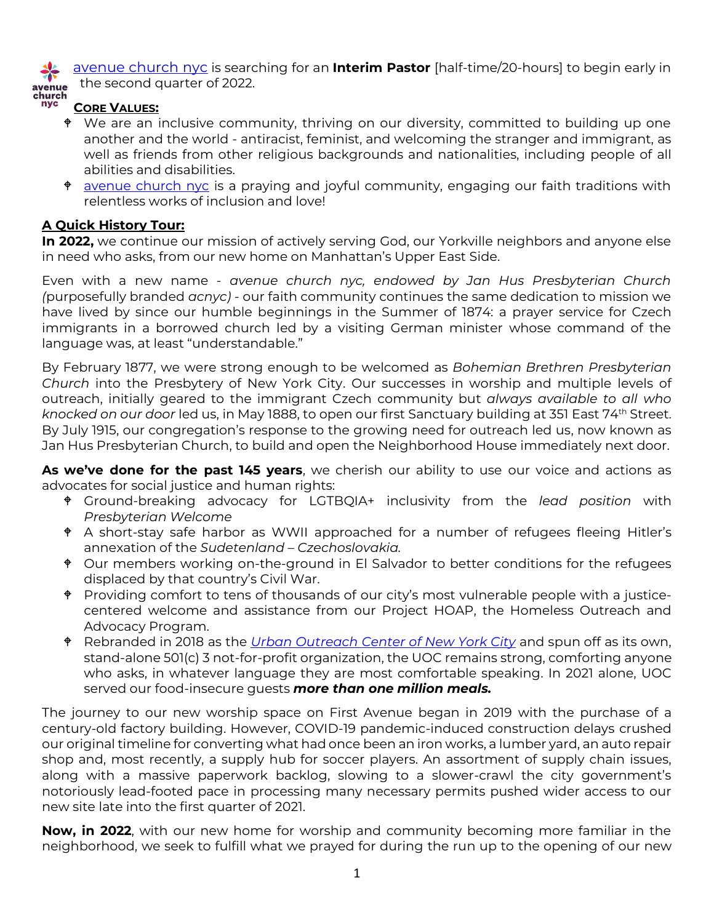[avenue church nyc](http://www.avenuechurchnyc.org/) is searching for an **Interim Pastor** [half-time/20-hours] to begin early in the second quarter of 2022.



#### **CORE VALUES:**

- We are an inclusive community, thriving on our diversity, committed to building up one another and the world - antiracist, feminist, and welcoming the stranger and immigrant, as well as friends from other religious backgrounds and nationalities, including people of all abilities and disabilities.
- <sup>+</sup> [avenue church nyc](http://www.avenuechurchnyc.org/) is a praying and joyful community, engaging our faith traditions with relentless works of inclusion and love!

#### **A Quick History Tour:**

**In 2022,** we continue our mission of actively serving God, our Yorkville neighbors and anyone else in need who asks, from our new home on Manhattan's Upper East Side.

Even with a new name - *avenue church nyc, endowed by Jan Hus Presbyterian Church (*purposefully branded *acnyc) -* our faith community continues the same dedication to mission we have lived by since our humble beginnings in the Summer of 1874: a prayer service for Czech immigrants in a borrowed church led by a visiting German minister whose command of the language was, at least "understandable."

By February 1877, we were strong enough to be welcomed as *Bohemian Brethren Presbyterian Church* into the Presbytery of New York City. Our successes in worship and multiple levels of outreach, initially geared to the immigrant Czech community but *always available to all who knocked on our door* led us, in May 1888, to open our first Sanctuary building at 351 East 74th Street. By July 1915, our congregation's response to the growing need for outreach led us, now known as Jan Hus Presbyterian Church, to build and open the Neighborhood House immediately next door.

**As we've done for the past 145 years**, we cherish our ability to use our voice and actions as advocates for social justice and human rights:

- Ground-breaking advocacy for LGTBQIA+ inclusivity from the *lead position* with *Presbyterian Welcome*
- A short-stay safe harbor as WWII approached for a number of refugees fleeing Hitler's annexation of the *Sudetenland – Czechoslovakia.*
- <sup> $\phi$ </sup> Our members working on-the-ground in El Salvador to better conditions for the refugees displaced by that country's Civil War.
- $\bullet$  Providing comfort to tens of thousands of our city's most vulnerable people with a justicecentered welcome and assistance from our Project HOAP, the Homeless Outreach and Advocacy Program.
- Rebranded in 2018 as the *[Urban Outreach Center of New York City](http://www.uocnyc.org/)* and spun off as its own, stand-alone 501(c) 3 not-for-profit organization, the UOC remains strong, comforting anyone who asks, in whatever language they are most comfortable speaking. In 2021 alone, UOC served our food-insecure guests *more than one million meals.*

The journey to our new worship space on First Avenue began in 2019 with the purchase of a century-old factory building. However, COVID-19 pandemic-induced construction delays crushed our original timeline for converting what had once been an iron works, a lumber yard, an auto repair shop and, most recently, a supply hub for soccer players. An assortment of supply chain issues, along with a massive paperwork backlog, slowing to a slower-crawl the city government's notoriously lead-footed pace in processing many necessary permits pushed wider access to our new site late into the first quarter of 2021.

**Now, in 2022**, with our new home for worship and community becoming more familiar in the neighborhood, we seek to fulfill what we prayed for during the run up to the opening of our new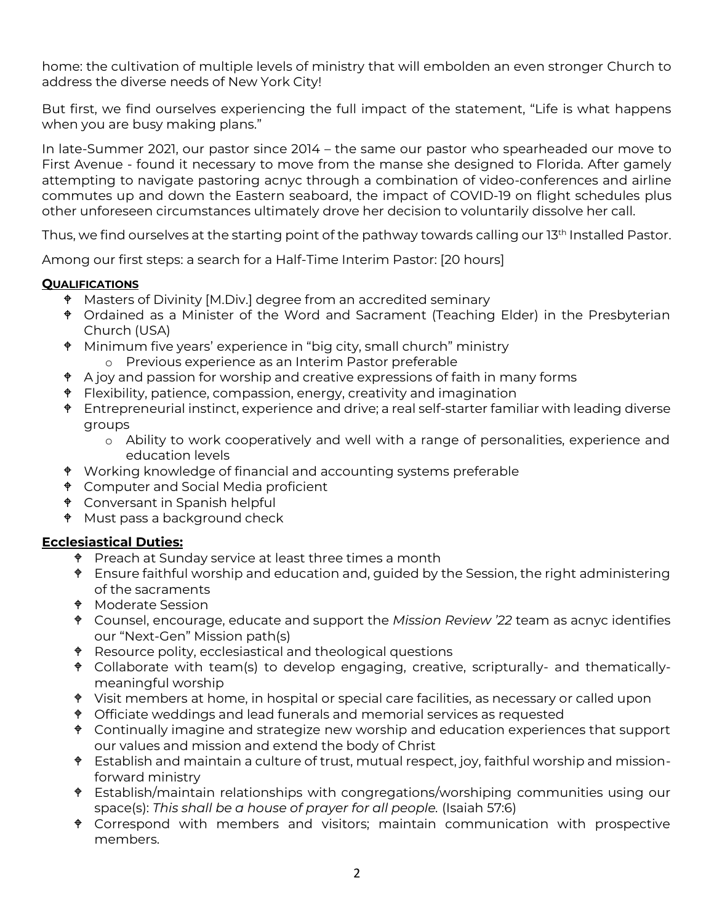home: the cultivation of multiple levels of ministry that will embolden an even stronger Church to address the diverse needs of New York City!

But first, we find ourselves experiencing the full impact of the statement, "Life is what happens when you are busy making plans."

In late-Summer 2021, our pastor since 2014 – the same our pastor who spearheaded our move to First Avenue - found it necessary to move from the manse she designed to Florida. After gamely attempting to navigate pastoring acnyc through a combination of video-conferences and airline commutes up and down the Eastern seaboard, the impact of COVID-19 on flight schedules plus other unforeseen circumstances ultimately drove her decision to voluntarily dissolve her call.

Thus, we find ourselves at the starting point of the pathway towards calling our 13<sup>th</sup> Installed Pastor.

Among our first steps: a search for a Half-Time Interim Pastor: [20 hours]

### **QUALIFICATIONS**

- Masters of Divinity [M.Div.] degree from an accredited seminary
- Ordained as a Minister of the Word and Sacrament (Teaching Elder) in the Presbyterian Church (USA)
- Minimum five years' experience in "big city, small church" ministry o Previous experience as an Interim Pastor preferable
- $\triangle$  A joy and passion for worship and creative expressions of faith in many forms
- $\bullet$  Flexibility, patience, compassion, energy, creativity and imagination
- $\bullet$  Entrepreneurial instinct, experience and drive; a real self-starter familiar with leading diverse groups
	- o Ability to work cooperatively and well with a range of personalities, experience and education levels
- Working knowledge of financial and accounting systems preferable
- $\bullet$  Computer and Social Media proficient
- Conversant in Spanish helpful
- $\bullet$  Must pass a background check

## **Ecclesiastical Duties:**

- $\bullet$  Preach at Sunday service at least three times a month
- <sup> $\bullet$ </sup> Ensure faithful worship and education and, guided by the Session, the right administering of the sacraments
- Moderate Session
- Counsel, encourage, educate and support the *Mission Review '22* team as acnyc identifies our "Next-Gen" Mission path(s)
- <sup> $\bullet$ </sup> Resource polity, ecclesiastical and theological questions
- Collaborate with team(s) to develop engaging, creative, scripturally- and thematicallymeaningful worship
- Visit members at home, in hospital or special care facilities, as necessary or called upon
- Officiate weddings and lead funerals and memorial services as requested
- <sup> $\bullet$ </sup> Continually imagine and strategize new worship and education experiences that support our values and mission and extend the body of Christ
- Establish and maintain a culture of trust, mutual respect, joy, faithful worship and missionforward ministry
- Establish/maintain relationships with congregations/worshiping communities using our space(s): *This shall be a house of prayer for all people.* (Isaiah 57:6)
- Correspond with members and visitors; maintain communication with prospective members.